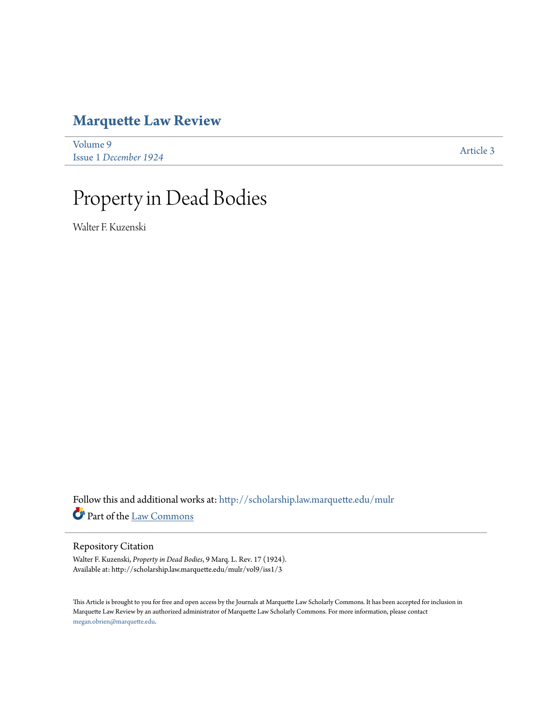# **[Marquette Law Review](http://scholarship.law.marquette.edu/mulr?utm_source=scholarship.law.marquette.edu%2Fmulr%2Fvol9%2Fiss1%2F3&utm_medium=PDF&utm_campaign=PDFCoverPages)**

| Volume 9              | Article 3 |
|-----------------------|-----------|
| Issue 1 December 1924 |           |

# Property in Dead Bodies

Walter F. Kuzenski

Follow this and additional works at: [http://scholarship.law.marquette.edu/mulr](http://scholarship.law.marquette.edu/mulr?utm_source=scholarship.law.marquette.edu%2Fmulr%2Fvol9%2Fiss1%2F3&utm_medium=PDF&utm_campaign=PDFCoverPages) Part of the [Law Commons](http://network.bepress.com/hgg/discipline/578?utm_source=scholarship.law.marquette.edu%2Fmulr%2Fvol9%2Fiss1%2F3&utm_medium=PDF&utm_campaign=PDFCoverPages)

# Repository Citation

Walter F. Kuzenski, *Property in Dead Bodies*, 9 Marq. L. Rev. 17 (1924). Available at: http://scholarship.law.marquette.edu/mulr/vol9/iss1/3

This Article is brought to you for free and open access by the Journals at Marquette Law Scholarly Commons. It has been accepted for inclusion in Marquette Law Review by an authorized administrator of Marquette Law Scholarly Commons. For more information, please contact [megan.obrien@marquette.edu.](mailto:megan.obrien@marquette.edu)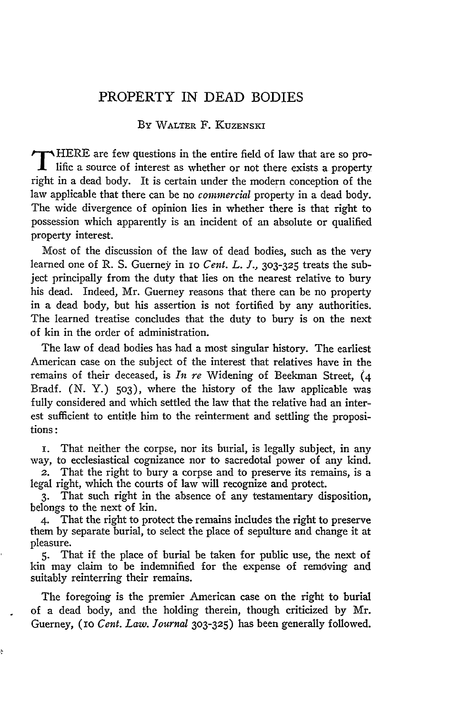# PROPERTY IN **DEAD BODIES**

#### By WALTER F. KUZENSKI

**PIRE are few questions in the entire field of law that are so pro-1** lific a source of interest as whether or not there exists a property right in a dead body. It is certain under the modern conception of the law applicable that there can be no *commercial* property in a dead body. The wide divergence of opinion lies in whether there is that right to possession which apparently is an incident of an absolute or qualified property interest.

Most of the discussion of the law of dead bodies, such as the very learned one of R. S. Guerney in IO *Cent. L. J.,* **303-325** treats the subject principally from the duty that lies on the nearest relative to bury his dead. Indeed, Mr. Guerney reasons that there can be no property in a dead body, but his assertion is not fortified by any authorities. The learned treatise concludes that the duty to bury is on the next of kin in the order of administration.

The law of dead bodies has had a most singular history. The earliest American case on the subject of the interest that relatives have in the remains of their deceased, is *ln re* Widening of Beekman Street, **(4** Bradf. (N. Y.) **503),** where the history of the law applicable was fully considered and which settled the law that the relative had an interest sufficient to entitle him to the reinterment and settling the propositions **:**

i. That neither the corpse, nor its burial, is legally subject, in any way, to ecclesiastical cognizance nor to sacredotal power of any kind.

2. That the right to bury a corpse and to preserve its remains, is a legal right, which the courts of law will recognize and protect.

**3.** That such right in the absence of any testamentary disposition, belongs to the next of kin.

4. That the right to protect the remains includes the right to preserve them by separate burial, to select the place of sepulture and change it at pleasure.

**5.** That if the place of burial be taken for public use, the next of kin may claim to be indemnified for the expense of removing and suitably reinterring their remains.

The foregoing is the premier American case on the right to burial of a dead body, and the holding therein, though criticized by Mr. Guerney, (io *Cent. Law. Journal* **303-325)** has been generally followed.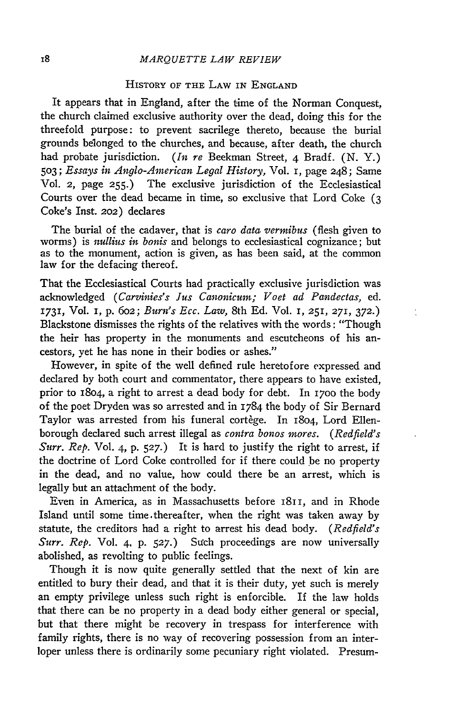#### *MARQUETTE LAW REVIEW*

### HISTORY OF THE LAW IN **ENGLAND**

It appears that in England, after the time of the Norman Conquest, the church claimed exclusive authority over the dead, doing this for the threefold purpose: to prevent sacrilege thereto, because the burial grounds belonged to the churches, and because, after death, the church had probate jurisdiction. *(In re* Beekman Street, 4 Bradf. (N. Y.) **503;** *Essays in Anglo-American Legal History,* Vol. I, page 248; Same Vol. 2, page **255.)** The exclusive jurisdiction of the Ecclesiastical Courts over the dead became in time, so exclusive that Lord Coke **(3** Coke's Inst. 202) declares

The burial of the cadaver, that is *caro data vermibus* (flesh given to worms) is *nullius in bonis* and belongs to ecclesiastical cognizance; but as to the monument, action is given, as has been said, at the common law for the defacing thereof.

That the Ecclesiastical Courts had practically exclusive jurisdiction was acknowledged *(Carvinies's Jus Canonicum; Voet ad Pandectas,* ed. 1731, Vol. **I,** p. *602; Burn's Ecc. Law,* 8th Ed. Vol. 1, 251, 271, **372.)** Blackstone dismisses the rights of the relatives with the words: "Though the heir has property in the monuments and escutcheons of his ancestors, yet he has none in their bodies or ashes."

t

However, in spite of the well defined rule heretofore expressed and declared by both court and commentator, there appears to have existed, prior to 1804, a right to arrest a dead body for debt. In **1700** the body of the poet Dryden was so arrested and in 1784 the body of Sir Bernard Taylor was arrested from his funeral cortège. In 1804, Lord Ellenborough declared such arrest illegal as *contra bonos mores. (Redfield's Surr. Rep.* Vol. 4, p. **527.)** It is hard to justify the right to arrest, if the doctrine of Lord Coke controlled for if there could be no property in the dead, and no value, how could there be an arrest, which is legally but an attachment of the body.

Even in America, as in Massachusetts before 1811, and in Rhode Island until some time thereafter, when the right was taken away by statute, the creditors had a right to arrest his dead body. *(Redfield's Surr. Rep.* Vol. 4, p. 527.) Such proceedings are now universally abolished, as revolting to public feelings.

Though it is now quite generally settled that the next of kin are entitled to bury their dead, and that it is their duty, yet such is merely an empty privilege unless such right is enforcible. If the law holds that there can be no property in a dead body either general or special, but that there might be recovery in trespass for interference with family rights, there is no way of recovering possession from an interloper unless there is ordinarily some pecuniary right violated. Presum-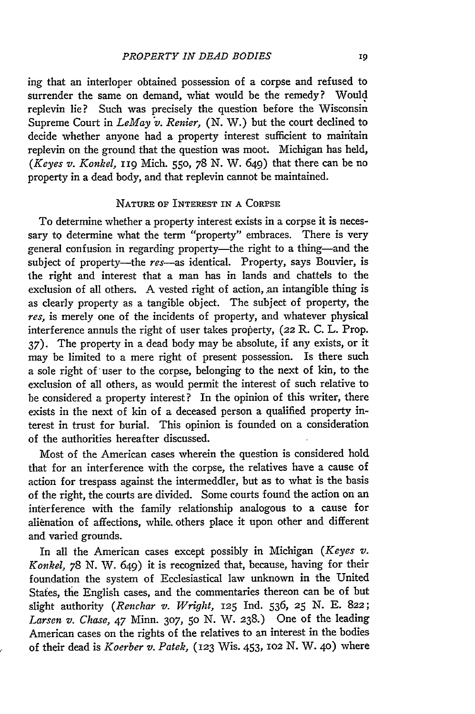ing that an interloper obtained possession of a corpse and refused to surrender the same on demand, what would be the remedy? Would replevin lie? Such was precisely the question before the Wisconsin Supreme Court in *LeMay v. Renier, (N.* W.) but the court declined to decide whether anyone had a property interest sufficient to mainitain replevin on the ground that the question was moot. Michigan has held, *(Keyes v. Konkel, 119 Mich. 550, 78 N. W. 649) that there can be no* property in a dead body, and that replevin cannot be maintained.

#### NATURE OF INTEREST IN **A** CORPSE

To determine whether a property interest exists in a corpse it is necessary to determine what the term "property" embraces. There is very general confusion in regarding property—the right to a thing—and the subject of property-the *res*-as identical. Property, says Bouvier, is the right and interest that a man has in lands and chattels to the exclusion of all others. A vested right of action, an intangible thing is as clearly property as a tangible object. The subject of property, the *res,* is merely one of the incidents of property, and whatever physical interference annuls the right of user takes property, (22 R. C. L. Prop. 37). The property in a dead body may be absolute, if any exists, or it may be limited to a mere right of present possession. Is there such a sole right of user to the corpse, belonging to the next of kin, to the exclusion of all others, as would permit the interest of such relative to be considered a property interest? In the opinion of this writer, there exists in the next of kin of a deceased person a qualified property interest in trust for burial. This opinion is founded on a consideration of the authorities hereafter discussed.

Most of the American cases wherein the question is considered hold that for an interference with the corpse, the relatives have a cause of action for trespass against the intermeddler, but as to what is the basis of the right, the courts are divided. Some courts found the action on an interference with the family relationship analogous to a cause for alienation of affections, while others place it upon other and different and varied grounds.

In all the American cases except possibly in Michigan *(Keyes v. Konkel, 78 N. W. 649)* it is recognized that, because, having for their foundation the system of Ecclesiastical law unknown in the United States, the English cases, and the commentaries thereon can be of but slight authority *(Renchar v. Wright,* **125** Ind. 536, **25 N. E.** 822; *Larsen v. Chase,* 47 Minn. **307, 50** N. W. 238.) One of the leading American cases on the rights of the relatives to an interest in the bodies of their dead is *Koerber v. Patek,* (123 Wis. 453, lO2 **N.** W. **40)** where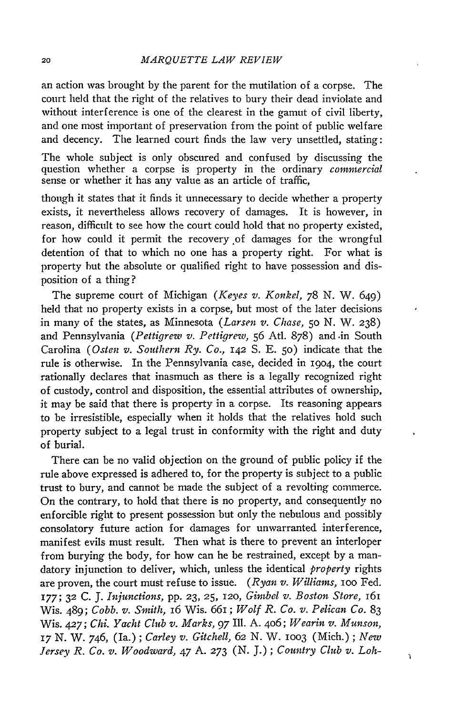an action was brought by the parent for the mutilation of a corpse. The court held that the right of the relatives to bury their dead inviolate and without interference is one of the clearest in the gamut of civil liberty, and one most important of preservation from the point of public welfare and decency. The learned court finds the law very unsettled, stating:

The whole subject is only obscured and confused by discussing the question whether a corpse is property in the ordinary *commercial* sense or whether it has any value as an article of traffic,

though it states that it finds it unnecessary to decide whether a property exists, it nevertheless allows recovery of damages. It is however, in reason, difficult to see how the court could hold that no property existed, for how could it permit the recovery of damages for the wrongful detention of that to which no one has a property right. For what is property but the absolute or qualified right to have possession *and* disposition of a thing?

The supreme court of Michigan *(Keyes v. Konkel, 78* N. W. 649) held that no property exists in a corpse, but most of the later decisions in many of the states, as Minnesota *(Larsen v. Chase,* **50** N. W. **238)** and Pennsylvania *(Pettigrew v. Pettigrew,* **56** Atl. 878) and .in South Carolina *(Osten v. Southern Ry. Co.,* 142 S. E. **50)** indicate that the rule is otherwise. In the Pennsylvania case, decided in 19o4, the court rationally declares that inasmuch as there is a legally recognized right of custody, control and disposition, the essential attributes of ownership, it may be said that there is property in a corpse. Its reasoning appears to be irresistible, especially when it holds that the relatives hold such property subject to a legal trust in conformity with the right and duty of burial.

There can be no valid objection on the ground of public policy if the rule above expressed is adhered to, for the property is subject to a public trust to bury, and cannot be made the subject of a revolting commerce. On the contrary, to hold that there is no property, and consequently no enforcible right to present possession but only the nebulous and possibly consolatory future action for damages for unwarranted interference, manifest evils must result. Then what is there to prevent an interloper from burying the body, for how can he be restrained, except by a mandatory injunction to deliver, which, unless the identical *property* rights are proven, the court must refuse to issue. *(Ryan v. Williams,* IOO Fed. **177; 32 C. J.** *Injunctions,* **pp. 23, 25,** 12o, *Gimbel v. Boston Store, 161* Wis. 489; *Cobb. v. Smith,* 16 Wis. 661; *Wolf R. Co. v. Pelican Co.* 83 Wis. *42 <sup>7</sup> ; Chi. Yacht Club v. Marks, 97* Ill. A. 406; *Wearin v. Munson,* **17** N. W. 746, (Ia.); *Carley v. Gitchell, 62* N. W. **lOO3** (Mich.); *New Jersey R. Co. v. Woodward,* 47 A. **273** (N. J.); *Country Club v. Loh-*

 $\mathbf{I}$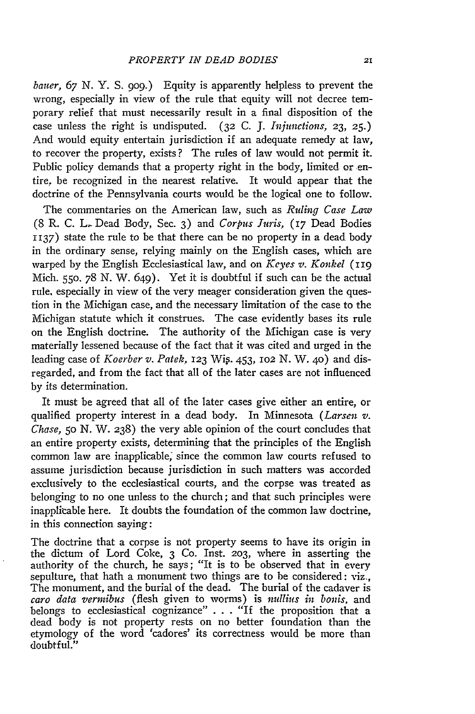*bauer, 67* **N.** Y. S. **909.)** Equity is apparently helpless to prevent the wrong, especially in view of the rule that equity will not decree temporary relief that must necessarily result in a final disposition of the case unless the right is undisputed. (32 C. J. *Injunctions,* **23, 25.)** And would equity entertain jurisdiction if an adequate remedy at law, to recover the property, exists? The rules of law would not permit it. Public policy demands that a property right in the body, limited or entire, be recognized in the nearest relative. It would appear that the doctrine of the Pennsylvania courts would be the logical one to follow.

The commentaries on the American law, such as *Ruling Case Law* (8 R. C. L. Dead Body, Sec. 3) and *Corpus Juris, (17* Dead Bodies 1137) state the rule to be that there can be no property in a dead body in the ordinary sense, relying mainly on the English cases, which are warped **by** the English Ecclesiastical law, and on *Keyes v. Konkel* **(119** Mich. **550.** 78 N. W. 649). Yet it is doubtful if such can be the actual rule, especially in view of the very meager consideration given the question in the Michigan case, and the necessary limitation of the case to the Michigan statute which it construes. The case evidently bases its rule on the English doctrine. The authority of the Michigan case is very materially lessened because of the fact that it was cited and urged in the leading case of *Koerber v. Patek,* 123 Wig. 453, **102** N. W. **4o)** and disregarded, and from the fact that all of the later cases are not influenced **by** its determination.

It must be agreed that all of the later cases give either an entire, or qualified property interest in a dead body. In Minnesota *(Larsen v. Chase,* **50** N. W. 238) the very able opinion of the court concludes that an entire property exists, determining that the principles of the English common law are inapplicable, since the common law courts refused to assume jurisdiction because jurisdiction in such matters was accorded exclusively to the ecclesiastical courts, and the corpse was treated as belonging to no one unless to the church; and that such principles were inapplicable here. It doubts the foundation of the common law doctrine, in this connection saying:

The doctrine that a corpse is not property seems to have its origin in the dictum of Lord Coke, 3 **Co.** Inst. **203,** where in asserting the authority of the church, he says; "It is to be observed that in every sepulture, that hath a monument two things are to be considered: viz., The monument, and the burial of the dead. The burial of the cadaver is *caro data vermibus* (flesh given to worms) is *nullius in bonis,* and belongs to ecclesiastical cognizance" . . . "If the proposition that a dead body is not property rests on no better foundation than the etymology of the word 'cadores' its correctness would be more than doubtful."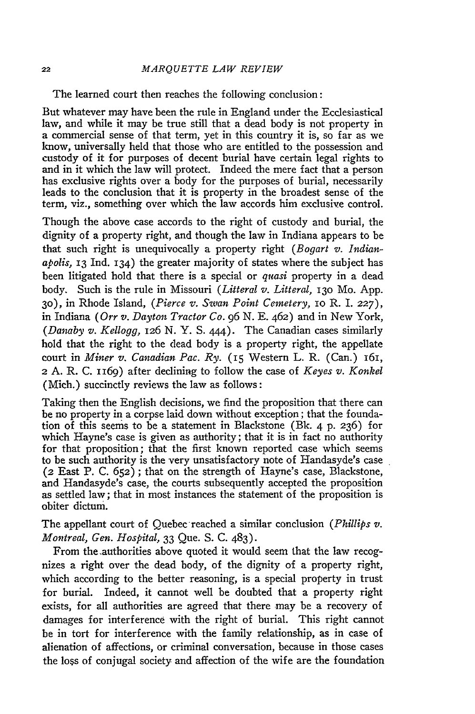The learned court then reaches the following conclusion:

But whatever may have been the rule in England under the Ecclesiastical law, and while it may be true still that a dead body is not property in a commercial sense of that term, yet in this country it is, so far as we know, universally held that those who are entitled to the possession and custody of it for purposes of decent burial have certain legal rights to and in it which the law will protect. Indeed the mere fact that a person has exclusive rights over a body for the purposes of burial, necessarily leads to the conclusion that it is property in the broadest sense of the term, viz., something over which the law accords him exclusive control.

Though the above case accords to the right of custody and burial, the dignity of a property right, and though the law in Indiana appears to be that such right is unequivocally a property right *(Bogart v. Indianapolis,* 13 Ind. 134) the greater majority of states where the subject has been litigated hold that there is a special or *quasi* property in a dead body. Such is the rule in Missouri *(Litteral v. Litteral,* **13o** Mo. App. 3o), in Rhode Island, *(Pierce v. Swan Point Cemetery,* IO R. 1. **227),** in Indiana *(Orr v. Dayton Tractor Co.* 96 N. **E.** 462) and in New York, *(Danaby v. Kellogg,* 126 N. Y. S. 444). The Canadian cases similarly hold that the right to the dead body is a property right, the appellate court in *Miner v. Canadian Pac. Ry.* (15 Western L. R. (Can.) 161, 2 A. R. C. 1169) after declining to follow the case of *Keyes v. Konkel* (Mich.) succinctly reviews the law as follows:

Taking then the English decisions, we find the proposition that there can be no property in a corpse laid down without exception; that the foundation of this seems to be a statement in Blackstone (Bk. 4 p. 236) for which Hayne's case is given as authority; that it is in fact no authority for that proposition; that the first known reported case which seems to be such authority is the very unsatisfactory note of Handasyde's case (2 East P. C. 652) ; that on the strength of Hayne's case, Blackstone, and Handasyde's case, the courts subsequently accepted the proposition as settled law; that in most instances the statement of the proposition is obiter dictum.

The appellant court of Quebec-reached a similar conclusion *(Phillips v. Montreal, Gen. Hospital,* 33 Que. S. C. 483).

From the .authorities above quoted it would seem that the law recognizes a right over the dead body, of the dignity of a property right, which according to the better reasoning, is a special property in trust for burial. Indeed, it cannot well be doubted that a property right exists, for all authorities are agreed that there may be a recovery of damages for interference with the right of burial. This right cannot be in tort for interference with the family relationship, as in case of alienation of affections, or criminal conversation, because in those cases the loss of conjugal society and affection of the wife are the foundation

22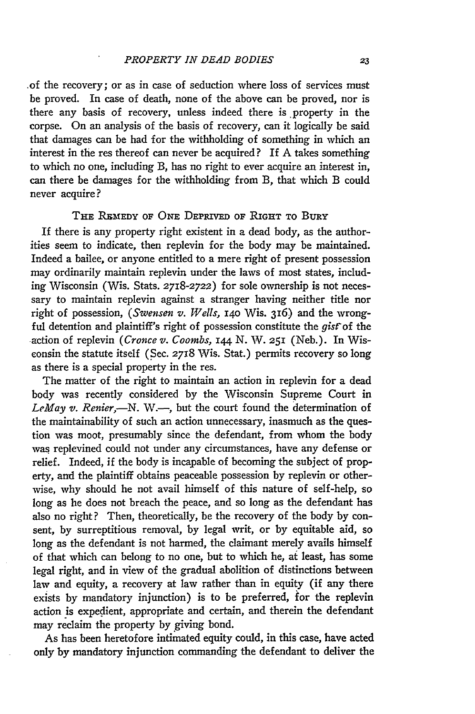*.of* the recovery; or as in case of seduction where loss of services must be proved. In case of death, none of the above can be proved, nor is there any basis of recovery, unless indeed there is property in the corpse. On an analysis of the basis of recovery, can it logically be said that damages can be had for the withholding of something in which an interest in the res thereof can never be acquired? If A takes something to which no one, including B, has no right to ever acquire an interest in, can there be damages for the withholding from B, that which B could never acquire?

#### **THE IBMEDY OF ONE DEPRIVED** OF **RIGHT** TO BURY

If there is any property right existent in a dead body, as the authorities seem to indicate, then replevin for the body may be maintained. Indeed a bailee, or anyone entitled to a mere right of present possession may ordinarily maintain replevin under the laws of most states, including Wisconsin (Wis. Stats. *2718-2722)* for sole ownership is not necessary to maintain replevin against a stranger having neither title nor right of possession, *(Swensen v. Wells,* **140** Wis. 316) and the wrongful detention and plaintiff's right of possession constitute the *gistof* the action of replevin *(Cronce v. Coombs, 144* N. W. **251** (Neb.). In Wisconsin the statute itself (Sec. **2718** Wis. Stat.) permits recovery so long as there is a special property in the res.

The matter of the right to maintain an action in replevin for a dead body was recently considered by the Wisconsin Supreme Court in LeMay v. Renier,-N. W.-, but the court found the determination of the maintainability of such an action unnecessary, inasmuch as the question was moot, presumably since the defendant, from whom the body was replevined could not under any circumstances, have any defense or relief. Indeed, if the body is incapable of becoming the subject of property, and the plaintiff obtains peaceable possession by replevin or otherwise, why should he not avail himself of this nature of self-help, so long as he does not breach the peace, and so long as the defendant has also no right? Then, theoretically, be the recovery of the body by consent, by surreptitious removal, by legal writ, or by equitable aid, so long as the defendant is not harmed, the claimant merely avails himself of that which can belong to no one, but to which he, at least, has some legal right, and in view of the gradual abolition of distinctions between law and equity, a recovery at law rather than in equity (if any there exists **by** mandatory injunction) is to be preferred, for the replevin action is expedient, appropriate and certain, and therein the defendant may reclaim the property by giving bond.

As has been heretofore intimated equity could, in this case, have acted only **by** mandatory injunction commanding the defendant to deliver the